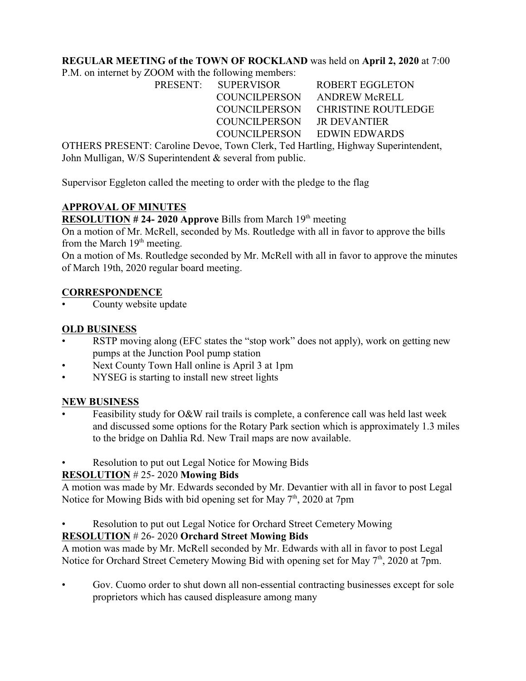## **REGULAR MEETING of the TOWN OF ROCKLAND** was held on **April 2, 2020** at 7:00

P.M. on internet by ZOOM with the following members:

|  | PRESENT: SUPERVISOR         | ROBERT EGGLETON                   |
|--|-----------------------------|-----------------------------------|
|  | COUNCILPERSON ANDREW McRELL |                                   |
|  |                             | COUNCILPERSON CHRISTINE ROUTLEDGE |
|  | COUNCILPERSON JR DEVANTIER  |                                   |
|  | COUNCILPERSON EDWIN EDWARDS |                                   |
|  |                             |                                   |

OTHERS PRESENT: Caroline Devoe, Town Clerk, Ted Hartling, Highway Superintendent, John Mulligan, W/S Superintendent & several from public.

Supervisor Eggleton called the meeting to order with the pledge to the flag

## **APPROVAL OF MINUTES**

**RESOLUTION # 24- 2020 Approve** Bills from March  $19<sup>th</sup>$  meeting

On a motion of Mr. McRell, seconded by Ms. Routledge with all in favor to approve the bills from the March  $19<sup>th</sup>$  meeting.

On a motion of Ms. Routledge seconded by Mr. McRell with all in favor to approve the minutes of March 19th, 2020 regular board meeting.

### **CORRESPONDENCE**

County website update

## **OLD BUSINESS**

- RSTP moving along (EFC states the "stop work" does not apply), work on getting new pumps at the Junction Pool pump station
- Next County Town Hall online is April 3 at 1pm
- NYSEG is starting to install new street lights

### **NEW BUSINESS**

- Feasibility study for O&W rail trails is complete, a conference call was held last week and discussed some options for the Rotary Park section which is approximately 1.3 miles to the bridge on Dahlia Rd. New Trail maps are now available.
- Resolution to put out Legal Notice for Mowing Bids

## **RESOLUTION** # 25- 2020 **Mowing Bids**

A motion was made by Mr. Edwards seconded by Mr. Devantier with all in favor to post Legal Notice for Mowing Bids with bid opening set for May  $7<sup>th</sup>$ , 2020 at 7pm

• Resolution to put out Legal Notice for Orchard Street Cemetery Mowing

# **RESOLUTION** # 26- 2020 **Orchard Street Mowing Bids**

A motion was made by Mr. McRell seconded by Mr. Edwards with all in favor to post Legal Notice for Orchard Street Cemetery Mowing Bid with opening set for May  $7<sup>th</sup>$ , 2020 at 7pm.

• Gov. Cuomo order to shut down all non-essential contracting businesses except for sole proprietors which has caused displeasure among many